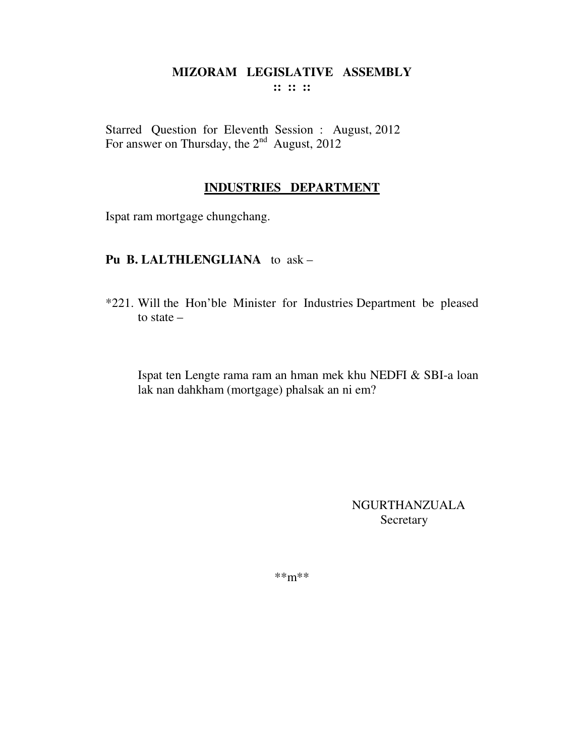Starred Question for Eleventh Session : August, 2012 For answer on Thursday, the  $2<sup>nd</sup>$  August, 2012

#### **INDUSTRIES DEPARTMENT**

Ispat ram mortgage chungchang.

#### **Pu B. LALTHLENGLIANA** to ask –

\*221. Will the Hon'ble Minister for Industries Department be pleased to state –

Ispat ten Lengte rama ram an hman mek khu NEDFI & SBI-a loan lak nan dahkham (mortgage) phalsak an ni em?

> NGURTHANZUALA Secretary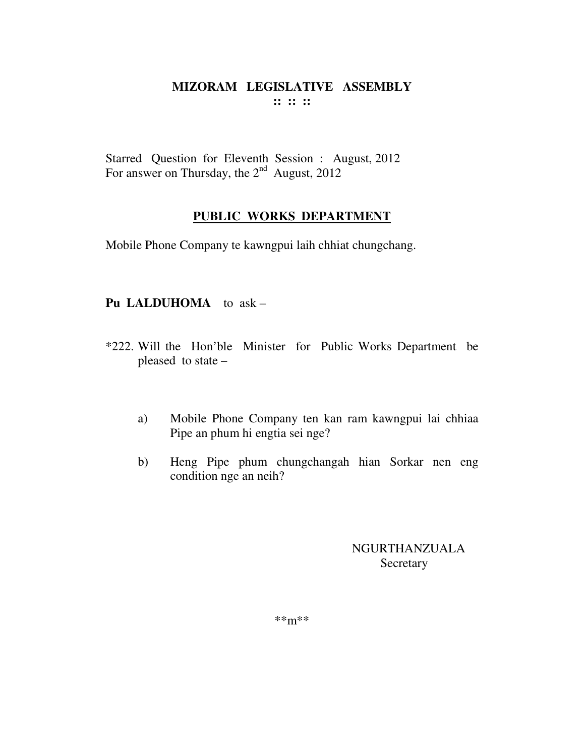Starred Question for Eleventh Session : August, 2012 For answer on Thursday, the  $2^{nd}$  August, 2012

# **PUBLIC WORKS DEPARTMENT**

Mobile Phone Company te kawngpui laih chhiat chungchang.

# **Pu LALDUHOMA** to ask –

- \*222. Will the Hon'ble Minister for Public Works Department be pleased to state –
	- a) Mobile Phone Company ten kan ram kawngpui lai chhiaa Pipe an phum hi engtia sei nge?
	- b) Heng Pipe phum chungchangah hian Sorkar nen eng condition nge an neih?

NGURTHANZUALA **Secretary**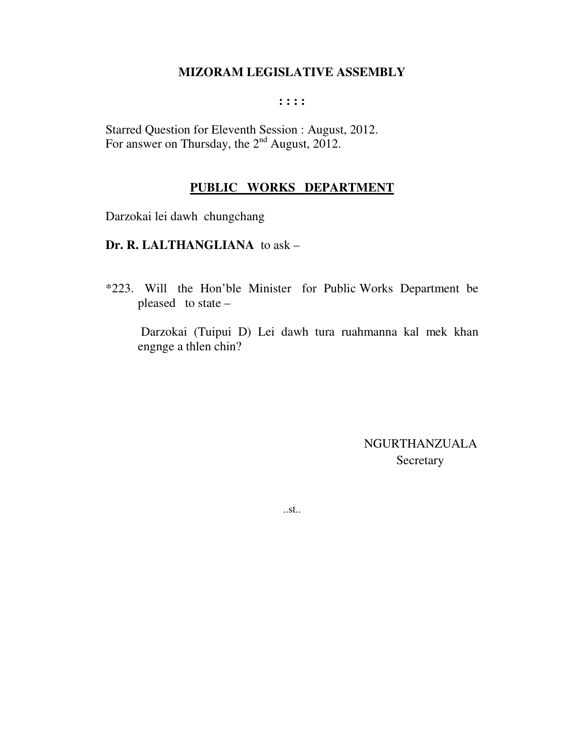#### **: : : :**

Starred Question for Eleventh Session : August, 2012. For answer on Thursday, the  $2<sup>nd</sup>$  August, 2012.

#### **PUBLIC WORKS DEPARTMENT**

Darzokai lei dawh chungchang

**Dr. R. LALTHANGLIANA** to ask –

\*223. Will the Hon'ble Minister for Public Works Department be pleased to state –

 Darzokai (Tuipui D) Lei dawh tura ruahmanna kal mek khan engnge a thlen chin?

> NGURTHANZUALA Secretary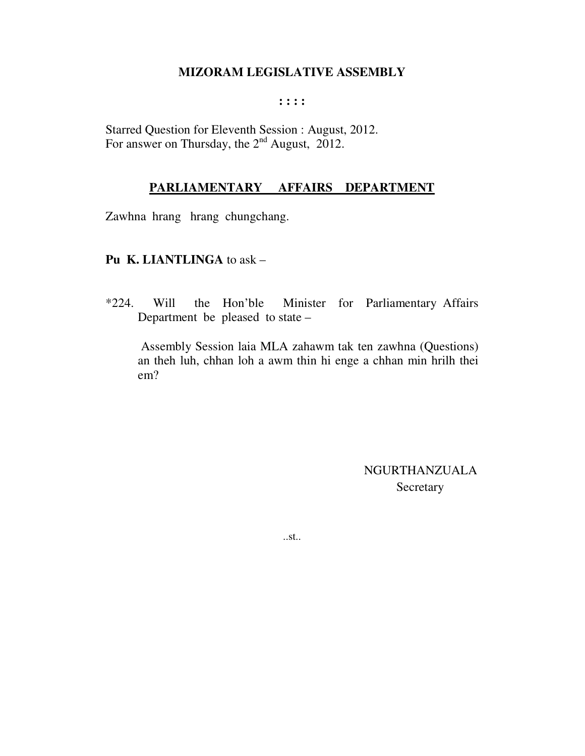#### **: : : :**

Starred Question for Eleventh Session : August, 2012. For answer on Thursday, the 2<sup>nd</sup> August, 2012.

#### **PARLIAMENTARY AFFAIRS DEPARTMENT**

Zawhna hrang hrang chungchang.

#### **Pu K. LIANTLINGA** to ask –

\*224. Will the Hon'ble Minister for Parliamentary Affairs Department be pleased to state –

 Assembly Session laia MLA zahawm tak ten zawhna (Questions) an theh luh, chhan loh a awm thin hi enge a chhan min hrilh thei em?

> NGURTHANZUALA Secretary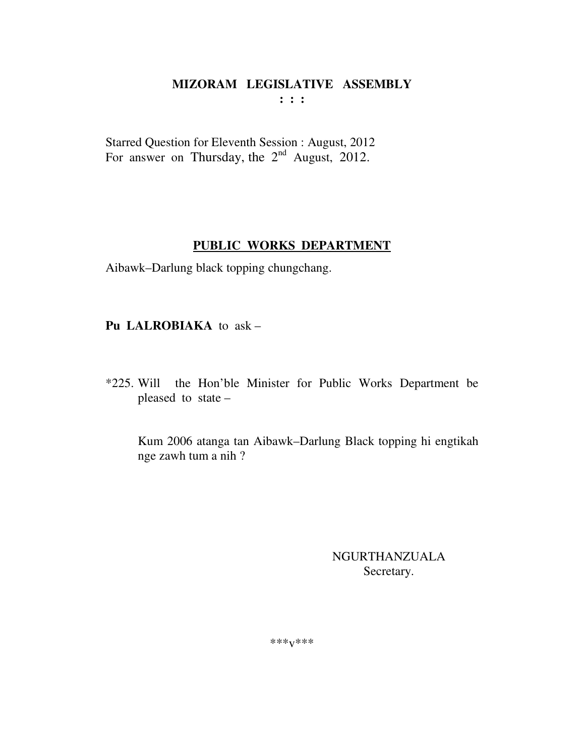Starred Question for Eleventh Session : August, 2012 For answer on Thursday, the  $2<sup>nd</sup>$  August, 2012.

# **PUBLIC WORKS DEPARTMENT**

Aibawk–Darlung black topping chungchang.

**Pu LALROBIAKA** to ask –

\*225. Will the Hon'ble Minister for Public Works Department be pleased to state –

 Kum 2006 atanga tan Aibawk–Darlung Black topping hi engtikah nge zawh tum a nih ?

> NGURTHANZUALA Secretary.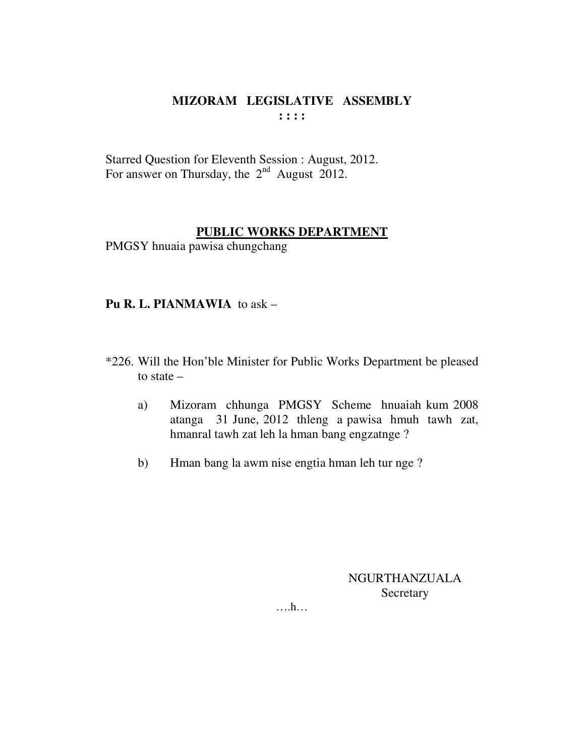Starred Question for Eleventh Session : August, 2012. For answer on Thursday, the  $2<sup>nd</sup>$  August 2012.

# **PUBLIC WORKS DEPARTMENT**

PMGSY hnuaia pawisa chungchang

## **Pu R. L. PIANMAWIA** to ask –

- \*226. Will the Hon'ble Minister for Public Works Department be pleased to state –
	- a) Mizoram chhunga PMGSY Scheme hnuaiah kum 2008 atanga 31 June, 2012 thleng a pawisa hmuh tawh zat, hmanral tawh zat leh la hman bang engzatnge ?
	- b) Hman bang la awm nise engtia hman leh tur nge ?

NGURTHANZUALA Secretary

….h…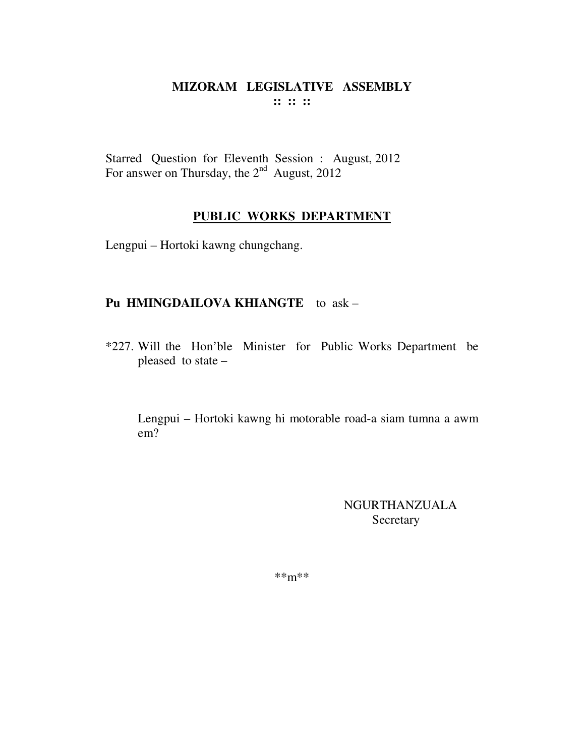Starred Question for Eleventh Session : August, 2012 For answer on Thursday, the  $2<sup>nd</sup>$  August, 2012

# **PUBLIC WORKS DEPARTMENT**

Lengpui – Hortoki kawng chungchang.

#### **Pu HMINGDAILOVA KHIANGTE** to ask –

\*227. Will the Hon'ble Minister for Public Works Department be pleased to state –

Lengpui – Hortoki kawng hi motorable road-a siam tumna a awm em?

> NGURTHANZUALA Secretary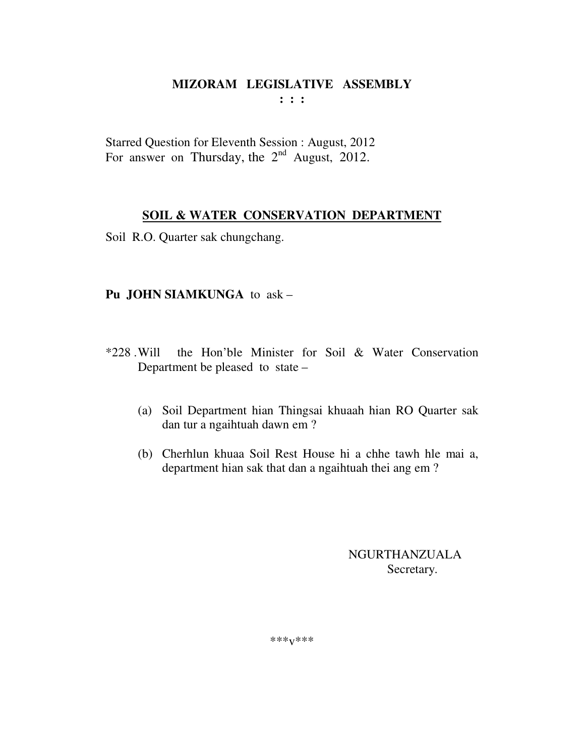Starred Question for Eleventh Session : August, 2012 For answer on Thursday, the  $2<sup>nd</sup>$  August, 2012.

## **SOIL & WATER CONSERVATION DEPARTMENT**

Soil R.O. Quarter sak chungchang.

## **Pu JOHN SIAMKUNGA** to ask –

- \*228 . Will the Hon'ble Minister for Soil & Water Conservation Department be pleased to state –
	- (a) Soil Department hian Thingsai khuaah hian RO Quarter sak dan tur a ngaihtuah dawn em ?
	- (b) Cherhlun khuaa Soil Rest House hi a chhe tawh hle mai a, department hian sak that dan a ngaihtuah thei ang em ?

NGURTHANZUALA Secretary.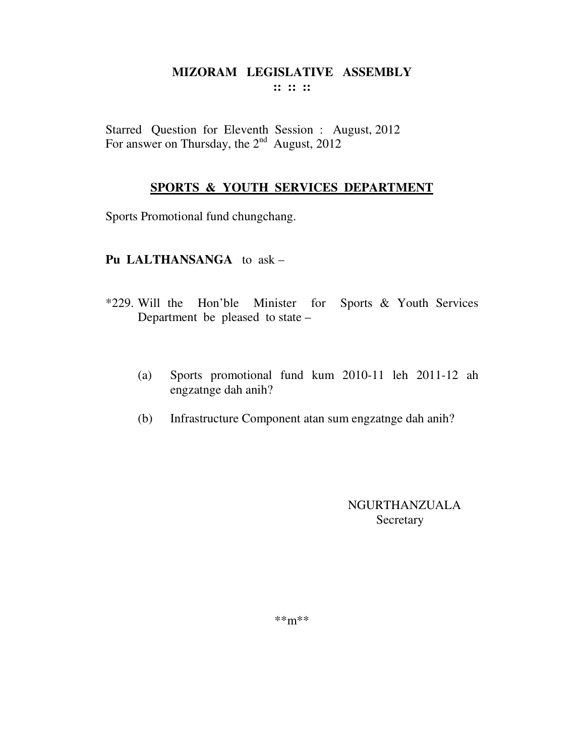Starred Question for Eleventh Session : August, 2012 For answer on Thursday, the  $2<sup>nd</sup>$  August, 2012

## **SPORTS & YOUTH SERVICES DEPARTMENT**

Sports Promotional fund chungchang.

## **Pu LALTHANSANGA** to ask –

- \*229. Will the Hon'ble Minister for Sports & Youth Services Department be pleased to state –
	- (a) Sports promotional fund kum 2010-11 leh 2011-12 ah engzatnge dah anih?
	- (b) Infrastructure Component atan sum engzatnge dah anih?

NGURTHANZUALA Secretary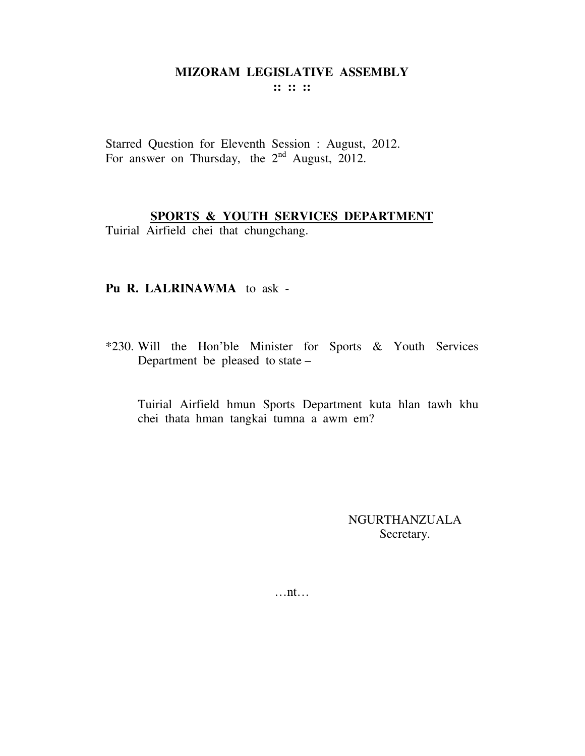**:: :: ::** 

Starred Question for Eleventh Session : August, 2012. For answer on Thursday, the  $2<sup>nd</sup>$  August, 2012.

# **SPORTS & YOUTH SERVICES DEPARTMENT**

Tuirial Airfield chei that chungchang.

#### **Pu R. LALRINAWMA** to ask -

\*230. Will the Hon'ble Minister for Sports & Youth Services Department be pleased to state –

Tuirial Airfield hmun Sports Department kuta hlan tawh khu chei thata hman tangkai tumna a awm em?

> NGURTHANZUALA Secretary.

…nt…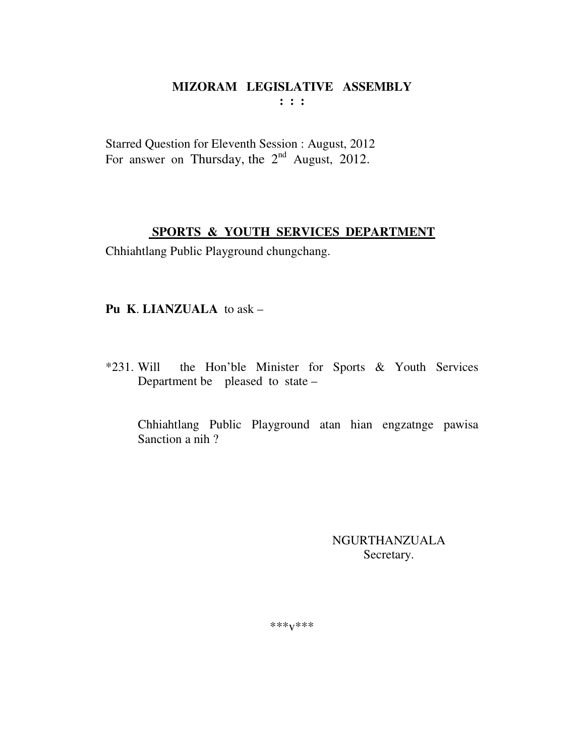Starred Question for Eleventh Session : August, 2012 For answer on Thursday, the  $2<sup>nd</sup>$  August, 2012.

# **SPORTS & YOUTH SERVICES DEPARTMENT**

Chhiahtlang Public Playground chungchang.

## **Pu K**. **LIANZUALA** to ask –

\*231. Will the Hon'ble Minister for Sports & Youth Services Department be pleased to state –

Chhiahtlang Public Playground atan hian engzatnge pawisa Sanction a nih ?

> NGURTHANZUALA Secretary.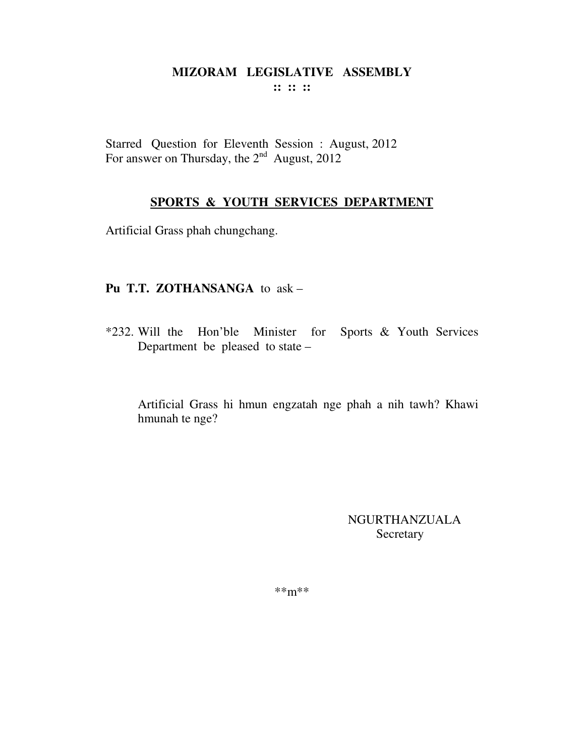Starred Question for Eleventh Session : August, 2012 For answer on Thursday, the  $2^{nd}$  August, 2012

#### **SPORTS & YOUTH SERVICES DEPARTMENT**

Artificial Grass phah chungchang.

#### **Pu T.T. ZOTHANSANGA** to ask –

\*232. Will the Hon'ble Minister for Sports & Youth Services Department be pleased to state –

Artificial Grass hi hmun engzatah nge phah a nih tawh? Khawi hmunah te nge?

> NGURTHANZUALA Secretary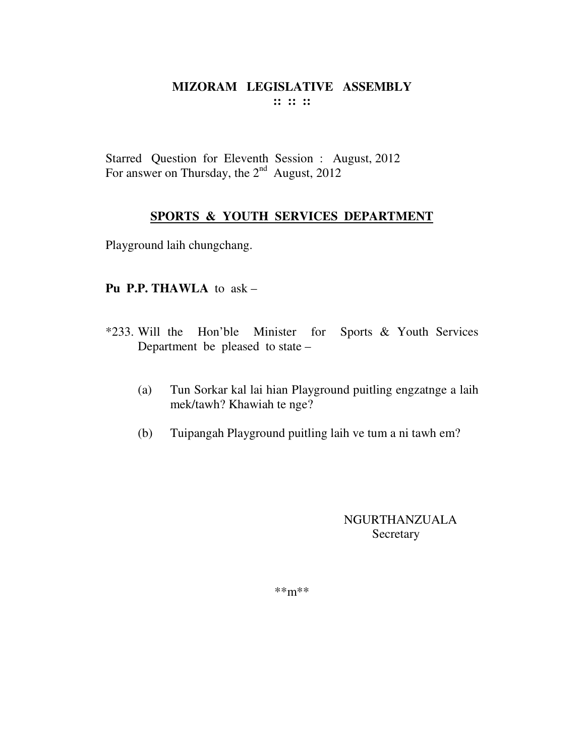Starred Question for Eleventh Session : August, 2012 For answer on Thursday, the  $2<sup>nd</sup>$  August, 2012

# **SPORTS & YOUTH SERVICES DEPARTMENT**

Playground laih chungchang.

## **Pu P.P. THAWLA** to ask –

- \*233. Will the Hon'ble Minister for Sports & Youth Services Department be pleased to state –
	- (a) Tun Sorkar kal lai hian Playground puitling engzatnge a laih mek/tawh? Khawiah te nge?
	- (b) Tuipangah Playground puitling laih ve tum a ni tawh em?

NGURTHANZUALA Secretary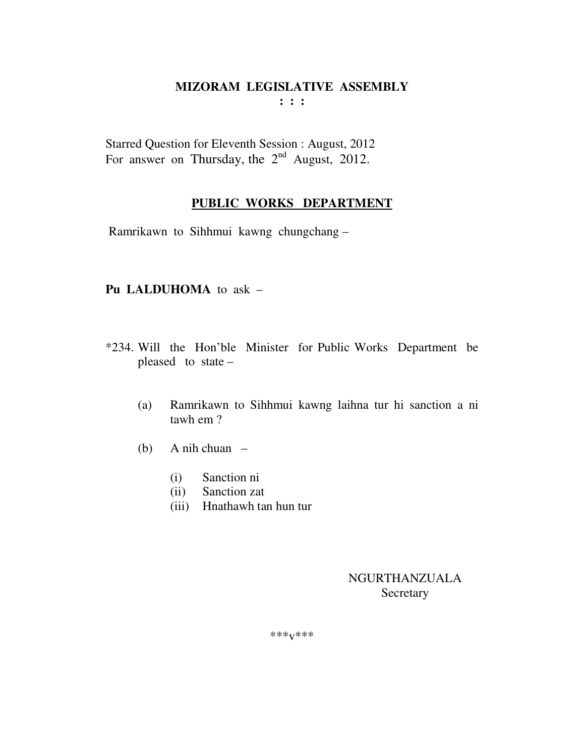Starred Question for Eleventh Session : August, 2012 For answer on Thursday, the  $2<sup>nd</sup>$  August, 2012.

## **PUBLIC WORKS DEPARTMENT**

Ramrikawn to Sihhmui kawng chungchang –

## **Pu LALDUHOMA** to ask –

- \*234. Will the Hon'ble Minister for Public Works Department be pleased to state –
	- (a) Ramrikawn to Sihhmui kawng laihna tur hi sanction a ni tawh em ?
	- (b) A nih chuan
		- (i) Sanction ni
		- (ii) Sanction zat
		- (iii) Hnathawh tan hun tur

NGURTHANZUALA Secretary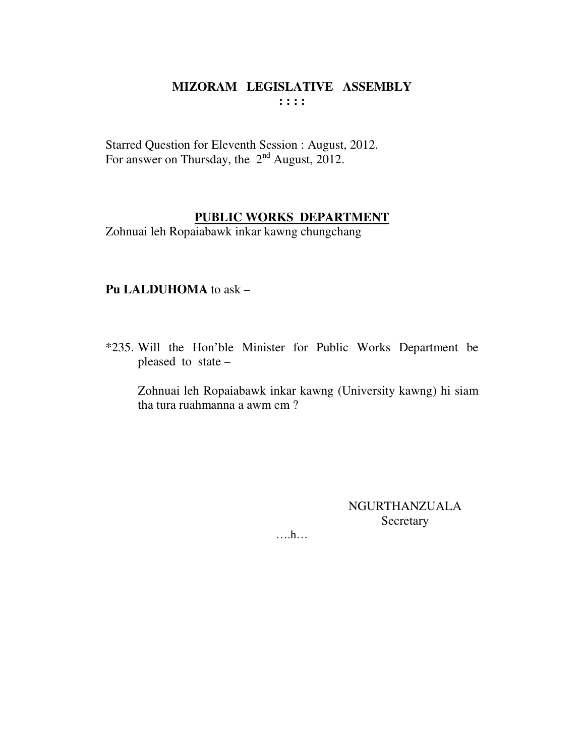Starred Question for Eleventh Session : August, 2012. For answer on Thursday, the  $2<sup>nd</sup>$  August, 2012.

## **PUBLIC WORKS DEPARTMENT**

Zohnuai leh Ropaiabawk inkar kawng chungchang

## **Pu LALDUHOMA** to ask –

\*235. Will the Hon'ble Minister for Public Works Department be pleased to state –

 Zohnuai leh Ropaiabawk inkar kawng (University kawng) hi siam tha tura ruahmanna a awm em ?

> NGURTHANZUALA **Secretary**

….h…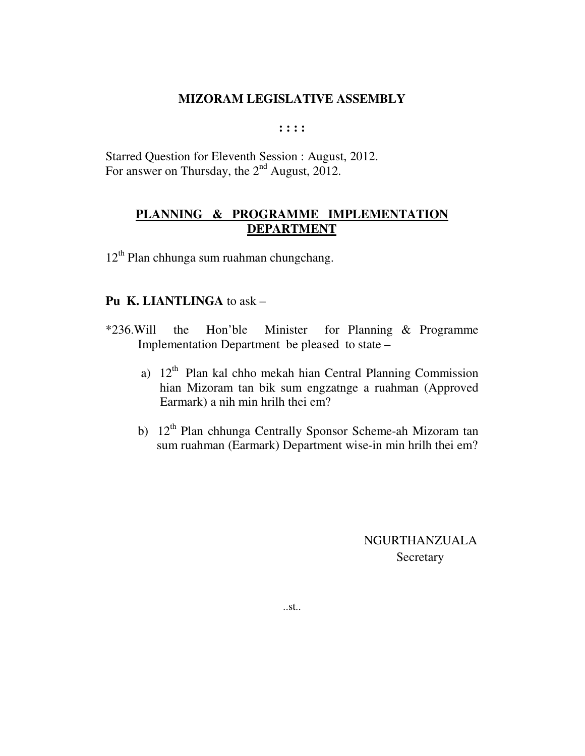**: : : :** 

Starred Question for Eleventh Session : August, 2012. For answer on Thursday, the  $2<sup>nd</sup>$  August, 2012.

# **PLANNING & PROGRAMME IMPLEMENTATION DEPARTMENT**

 $12<sup>th</sup>$  Plan chhunga sum ruahman chungchang.

#### **Pu K. LIANTLINGA** to ask –

- \*236.Will the Hon'ble Minister for Planning & Programme Implementation Department be pleased to state –
	- a)  $12<sup>th</sup>$  Plan kal chho mekah hian Central Planning Commission hian Mizoram tan bik sum engzatnge a ruahman (Approved Earmark) a nih min hrilh thei em?
	- b) 12<sup>th</sup> Plan chhunga Centrally Sponsor Scheme-ah Mizoram tan sum ruahman (Earmark) Department wise-in min hrilh thei em?

 NGURTHANZUALA **Secretary**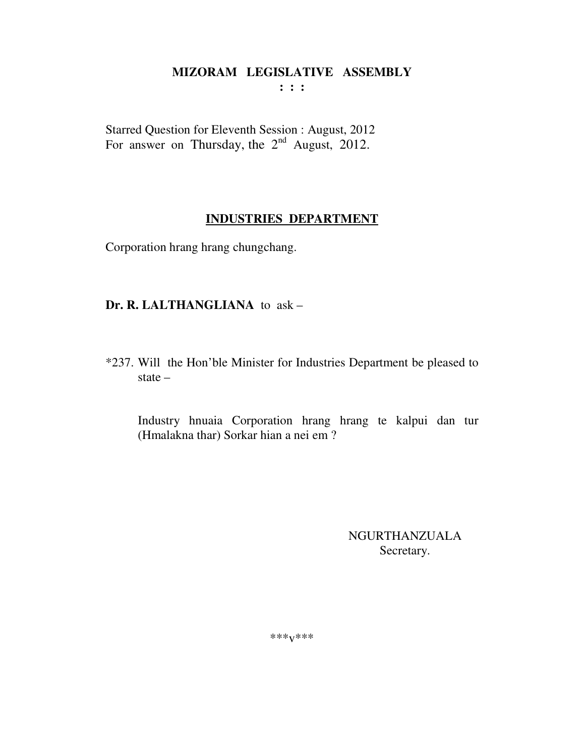**: : :** 

Starred Question for Eleventh Session : August, 2012 For answer on Thursday, the  $2<sup>nd</sup>$  August, 2012.

# **INDUSTRIES DEPARTMENT**

Corporation hrang hrang chungchang.

## **Dr. R. LALTHANGLIANA** to ask –

\*237. Will the Hon'ble Minister for Industries Department be pleased to state –

Industry hnuaia Corporation hrang hrang te kalpui dan tur (Hmalakna thar) Sorkar hian a nei em ?

> NGURTHANZUALA Secretary.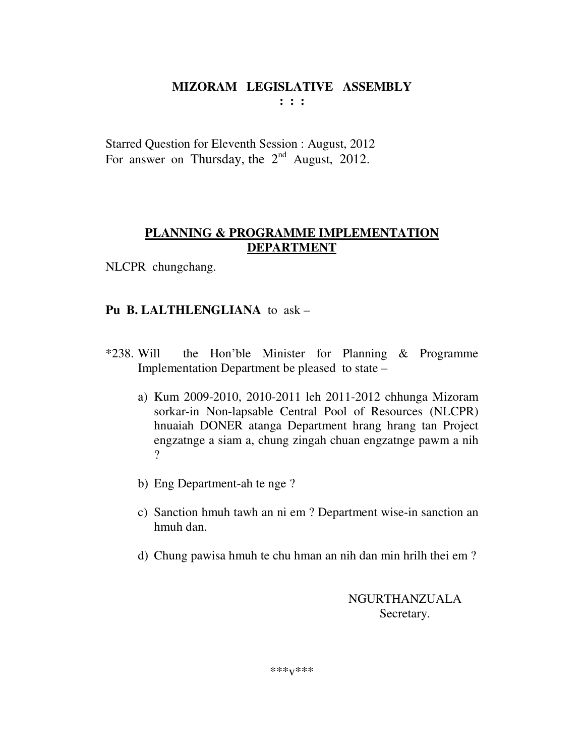**: : :** 

Starred Question for Eleventh Session : August, 2012 For answer on Thursday, the  $2<sup>nd</sup>$  August, 2012.

# **PLANNING & PROGRAMME IMPLEMENTATION DEPARTMENT**

NLCPR chungchang.

# **Pu B. LALTHLENGLIANA** to ask –

- \*238. Will the Hon'ble Minister for Planning & Programme Implementation Department be pleased to state –
	- a) Kum 2009-2010, 2010-2011 leh 2011-2012 chhunga Mizoram sorkar-in Non-lapsable Central Pool of Resources (NLCPR) hnuaiah DONER atanga Department hrang hrang tan Project engzatnge a siam a, chung zingah chuan engzatnge pawm a nih ?
	- b) Eng Department-ah te nge ?
	- c) Sanction hmuh tawh an ni em ? Department wise-in sanction an hmuh dan.
	- d) Chung pawisa hmuh te chu hman an nih dan min hrilh thei em ?

NGURTHANZUALA Secretary.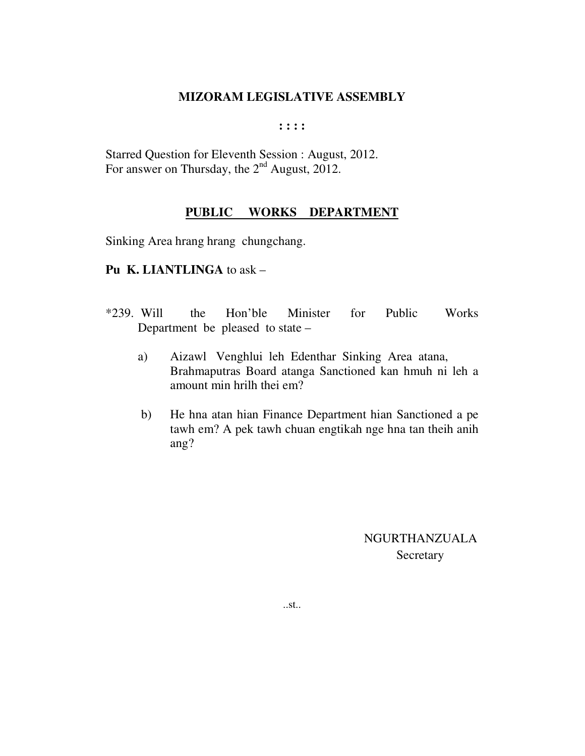**: : : :** 

Starred Question for Eleventh Session : August, 2012. For answer on Thursday, the 2<sup>nd</sup> August, 2012.

#### **PUBLIC WORKS DEPARTMENT**

Sinking Area hrang hrang chungchang.

#### **Pu K. LIANTLINGA** to ask –

- \*239. Will the Hon'ble Minister for Public Works Department be pleased to state –
	- a) Aizawl Venghlui leh Edenthar Sinking Area atana, Brahmaputras Board atanga Sanctioned kan hmuh ni leh a amount min hrilh thei em?
	- b) He hna atan hian Finance Department hian Sanctioned a pe tawh em? A pek tawh chuan engtikah nge hna tan theih anih ang?

 NGURTHANZUALA **Secretary**